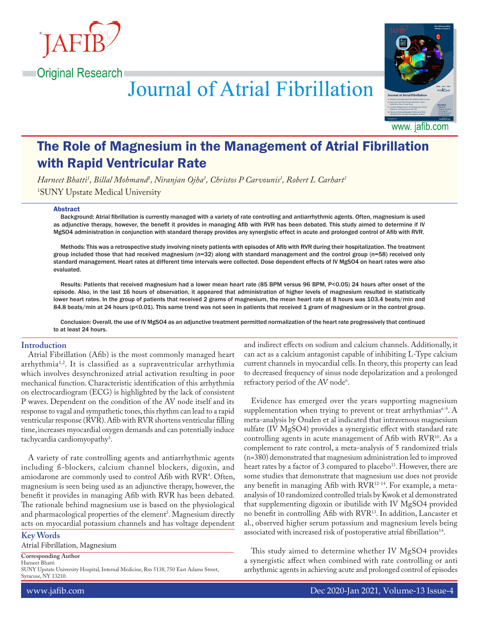



www. jafib.com

# The Role of Magnesium in the Management of Atrial Fibrillation with Rapid Ventricular Rate

**Journal of Atrial Fibrillation** 

*Harneet Bhatti1 , Billal Mohmand1 , Niranjan Ojha1 , Christos P Carvounis1 , Robert L Carhart1*

1 SUNY Upstate Medical University

#### Abstract

Background: Atrial fibrillation is currently managed with a variety of rate controlling and antiarrhythmic agents. Often, magnesium is used as adjunctive therapy, however, the benefit it provides in managing Afib with RVR has been debated. This study aimed to determine if IV MgSO4 administration in conjunction with standard therapy provides any synergistic effect in acute and prolonged control of Afib with RVR.

Methods: This was a retrospective study involving ninety patients with episodes of Afib with RVR during their hospitalization. The treatment group included those that had received magnesium (n=32) along with standard management and the control group (n=58) received only standard management. Heart rates at different time intervals were collected. Dose dependent effects of IV MgSO4 on heart rates were also evaluated.

Results: Patients that received magnesium had a lower mean heart rate (85 BPM versus 96 BPM, P<0.05) 24 hours after onset of the episode. Also, in the last 16 hours of observation, it appeared that administration of higher levels of magnesium resulted in statistically lower heart rates. In the group of patients that received 2 grams of magnesium, the mean heart rate at 8 hours was 103.4 beats/min and 84.8 beats/min at 24 hours (p<0.01). This same trend was not seen in patients that received 1 gram of magnesium or in the control group.

Conclusion: Overall, the use of IV MgSO4 as an adjunctive treatment permitted normalization of the heart rate progressively that continued to at least 24 hours.

### **Introduction**

Atrial Fibrillation (Afib) is the most commonly managed heart arrhythmia<sup>1,2</sup>. It is classified as a supraventricular arrhythmia which involves desynchronized atrial activation resulting in poor mechanical function. Characteristic identification of this arrhythmia on electrocardiogram (ECG) is highlighted by the lack of consistent P waves. Dependent on the condition of the AV node itself and its response to vagal and sympathetic tones, this rhythm can lead to a rapid ventricular response (RVR). Afib with RVR shortens ventricular filling time, increases myocardial oxygen demands and can potentially induce tachycardia cardiomyopathy<sup>3</sup>.

A variety of rate controlling agents and antiarrhythmic agents including ß-blockers, calcium channel blockers, digoxin, and amiodarone are commonly used to control Afib with RVR<sup>4</sup>. Often, magnesium is seen being used as an adjunctive therapy, however, the benefit it provides in managing Afib with RVR has been debated. The rationale behind magnesium use is based on the physiological and pharmacological properties of the element<sup>3</sup>. Magnesium directly acts on myocardial potassium channels and has voltage dependent

## **Key Words**

Atrial Fibrillation, Magnesium

**Corresponding Author**

Harneet Bhatti

SUNY Upstate University Hospital, Internal Medicine, Rm 5138, 750 East Adams Street, Syracuse, NY 13210.

and indirect effects on sodium and calcium channels. Additionally, it can act as a calcium antagonist capable of inhibiting L-Type calcium current channels in myocardial cells. In theory, this property can lead to decreased frequency of sinus node depolarization and a prolonged refractory period of the AV node<sup>6</sup>.

Evidence has emerged over the years supporting magnesium supplementation when trying to prevent or treat arrhythmias<sup>6-9</sup>. A meta-analysis by Onalen et al indicated that intravenous magnesium sulfate (IV MgSO4) provides a synergistic effect with standard rate controlling agents in acute management of Afib with RVR<sup>10</sup>. As a complement to rate control, a meta-analysis of 5 randomized trials (n=380) demonstrated that magnesium administration led to improved heart rates by a factor of 3 compared to placebo<sup>11</sup>. However, there are some studies that demonstrate that magnesium use does not provide any benefit in managing Afib with RVR12-14. For example, a metaanalysis of 10 randomized controlled trials by Kwok et al demonstrated that supplementing digoxin or ibutilide with IV MgSO4 provided no benefit in controlling Afib with RVR13. In addition, Lancaster et al., observed higher serum potassium and magnesium levels being associated with increased risk of postoperative atrial fibrillation<sup>14</sup>.

This study aimed to determine whether IV MgSO4 provides a synergistic affect when combined with rate controlling or anti arrhythmic agents in achieving acute and prolonged control of episodes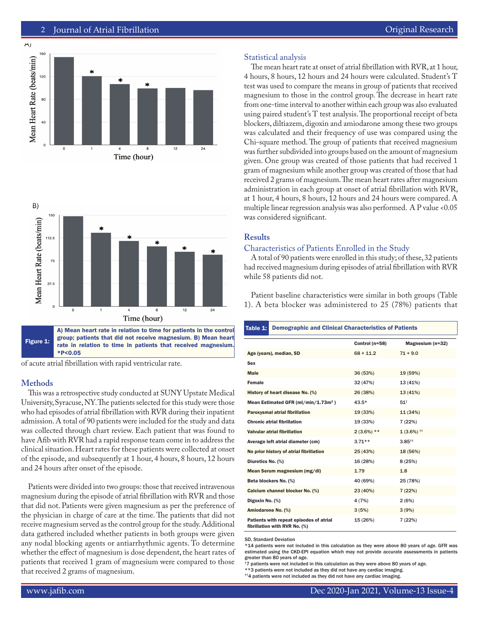





\*P<0.05

of acute atrial fibrillation with rapid ventricular rate.

# **Methods**

This was a retrospective study conducted at SUNY Upstate Medical University, Syracuse, NY. The patients selected for this study were those who had episodes of atrial fibrillation with RVR during their inpatient admission. A total of 90 patients were included for the study and data was collected through chart review. Each patient that was found to have Afib with RVR had a rapid response team come in to address the clinical situation. Heart rates for these patients were collected at onset of the episode, and subsequently at 1 hour, 4 hours, 8 hours, 12 hours and 24 hours after onset of the episode.

Patients were divided into two groups: those that received intravenous magnesium during the episode of atrial fibrillation with RVR and those that did not. Patients were given magnesium as per the preference of the physician in charge of care at the time. The patients that did not receive magnesium served as the control group for the study. Additional data gathered included whether patients in both groups were given any nodal blocking agents or antiarrhythmic agents. To determine whether the effect of magnesium is dose dependent, the heart rates of patients that received 1 gram of magnesium were compared to those that received 2 grams of magnesium.

## Statistical analysis

The mean heart rate at onset of atrial fibrillation with RVR, at 1 hour, 4 hours, 8 hours, 12 hours and 24 hours were calculated. Student's T test was used to compare the means in group of patients that received magnesium to those in the control group. The decrease in heart rate from one-time interval to another within each group was also evaluated using paired student's T test analysis. The proportional receipt of beta blockers, diltiazem, digoxin and amiodarone among these two groups was calculated and their frequency of use was compared using the Chi-square method. The group of patients that received magnesium was further subdivided into groups based on the amount of magnesium given. One group was created of those patients that had received 1 gram of magnesium while another group was created of those that had received 2 grams of magnesium. The mean heart rates after magnesium administration in each group at onset of atrial fibrillation with RVR, at 1 hour, 4 hours, 8 hours, 12 hours and 24 hours were compared. A multiple linear regression analysis was also performed. A P value <0.05 was considered significant.

# **Results**

## Characteristics of Patients Enrolled in the Study

A total of 90 patients were enrolled in this study; of these, 32 patients had received magnesium during episodes of atrial fibrillation with RVR while 58 patients did not.

Patient baseline characteristics were similar in both groups (Table 1). A beta blocker was administered to 25 (78%) patients that

| Table 1:                                                                 | <b>Demographic and Clinical Characteristics of Patients</b> |                                   |  |  |  |
|--------------------------------------------------------------------------|-------------------------------------------------------------|-----------------------------------|--|--|--|
|                                                                          | Control (n=58)                                              | Magnesium (n=32)                  |  |  |  |
| Age (years), median, SD                                                  | $68 + 11.2$                                                 | $71 + 9.0$                        |  |  |  |
| <b>Sex</b>                                                               |                                                             |                                   |  |  |  |
| <b>Male</b>                                                              | 36 (53%)                                                    | 19 (59%)                          |  |  |  |
| Female                                                                   | 32 (47%)                                                    | 13(41%)                           |  |  |  |
| History of heart disease No. (%)                                         | 26 (38%)                                                    | 13(41%)                           |  |  |  |
| Mean Estimated GFR (ml/min/1.73m <sup>2</sup> )                          | $43.5*$                                                     | $51^+$                            |  |  |  |
| Paroxysmal atrial fibrillation                                           | 19 (33%)                                                    | 11(34%)                           |  |  |  |
| <b>Chronic atrial fibrillation</b>                                       | 19 (33%)                                                    | 7(22%)                            |  |  |  |
| Valvular atrial fibrillation                                             | $2(3.6\%)$ **                                               | $1(3.6\%)$ <sup>11</sup>          |  |  |  |
| Average left atrial diameter (cm)                                        | $3.71**$                                                    | $3.85$ <sup><math>++</math></sup> |  |  |  |
| No prior history of atrial fibrillation                                  | 25 (43%)                                                    | 18 (56%)                          |  |  |  |
| Diuretics No. (%)                                                        | 16 (28%)                                                    | 8(25%)                            |  |  |  |
| Mean Serum magnesium (mg/dl)                                             | 1.79                                                        | 1.8                               |  |  |  |
| Beta blockers No. (%)                                                    | 40 (69%)                                                    | 25 (78%)                          |  |  |  |
| Calcium channel blocker No. (%)                                          | 23 (40%)                                                    | 7(22%)                            |  |  |  |
| Digoxin No. (%)                                                          | 4 (7%)                                                      | 2(6%)                             |  |  |  |
| Amiodarone No. (%)                                                       | 3(5%)                                                       | 3(9%)                             |  |  |  |
| Patients with repeat episodes of atrial<br>fibrillation with RVR No. (%) | 15 (26%)                                                    | 7 (22%)                           |  |  |  |

SD, Standard Deviation

\*14 patients were not included in this calculation as they were above 80 years of age. GFR was estimated using the CKD-EPI equation which may not provide accurate assessments in patients greater than 80 years of age.

†7 patients were not included in this calculation as they were above 80 years of age.

\*\*3 patients were not included as they did not have any cardiac imaging.

 $^{\dagger\dagger}4$  patients were not included as they did not have any cardiac imaging.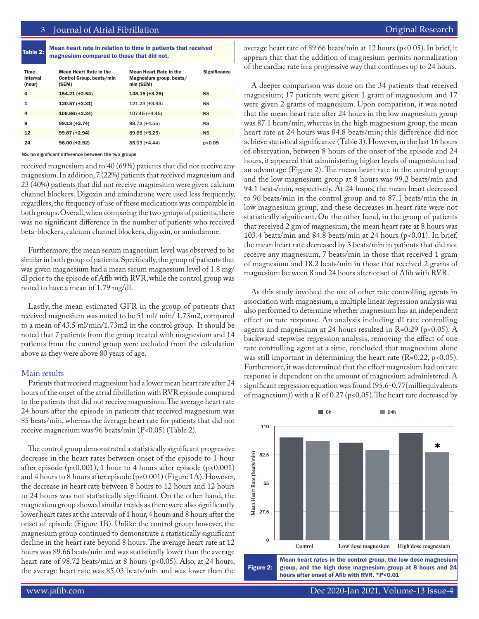| Table 2: $\vert$ | Mean heart rate in relation to time in patients that received |
|------------------|---------------------------------------------------------------|
|                  | magnesium compared to those that did not.                     |

| Time<br>interval<br>(hour) | <b>Mean Heart Rate in the</b><br>Control Group, beats/min<br>(SEM) | <b>Mean Heart Rate in the</b><br>Magnesium group, beats/<br>min (SEM) | <b>Significance</b> |
|----------------------------|--------------------------------------------------------------------|-----------------------------------------------------------------------|---------------------|
| $\bf{0}$                   | $154.21 (+2.54)$                                                   | 148.19 (+3.29)                                                        | <b>NS</b>           |
| 1                          | 120.57 (+3.31)                                                     | $121.23 (+3.93)$                                                      | NS                  |
| 4                          | $106.86 (+3.24)$                                                   | $107.45 (+4.45)$                                                      | <b>NS</b>           |
| 8                          | $99.13 (+2.74)$                                                    | $98.72 (+4.55)$                                                       | NS                  |
| 12                         | 99.87 (+2.94)                                                      | 89.66 (+5.25)                                                         | NS                  |
| 24                         | $96.00 (+2.92)$                                                    | 85.03 (+4.44)                                                         | p<0.05              |

NS, no significant difference between the two groups

received magnesium and to 40 (69%) patients that did not receive any magnesium. In addition, 7 (22%) patients that received magnesium and 23 (40%) patients that did not receive magnesium were given calcium channel blockers. Digoxin and amiodarone were used less frequently, regardless, the frequency of use of these medications was comparable in both groups. Overall, when comparing the two groups of patients, there was no significant difference in the number of patients who received beta-blockers, calcium channel blockers, digoxin, or amiodarone.

Furthermore, the mean serum magnesium level was observed to be similar in both group of patients. Specifically, the group of patients that was given magnesium had a mean serum magnesium level of 1.8 mg/ dl prior to the episode of Afib with RVR, while the control group was noted to have a mean of 1.79 mg/dl.

Lastly, the mean estimated GFR in the group of patients that received magnesium was noted to be 51 ml/ min/ 1.73m2, compared to a mean of 43.5 ml/min/1.73m2 in the control group. It should be noted that 7 patients from the group treated with magnesium and 14 patients from the control group were excluded from the calculation above as they were above 80 years of age.

## Main results

Patients that received magnesium had a lower mean heart rate after 24 hours of the onset of the atrial fibrillation with RVR episode compared to the patients that did not receive magnesium. The average heart rate 24 hours after the episode in patients that received magnesium was 85 beats/min, whereas the average heart rate for patients that did not receive magnesium was 96 beats/min (P<0.05) (Table 2).

The control group demonstrated a statistically significant progressive decrease in the heart rates between onset of the episode to 1 hour after episode ( $p<0.001$ ), 1 hour to 4 hours after episode ( $p<0.001$ ) and 4 hours to 8 hours after episode (p<0.001) (Figure 1A). However, the decrease in heart rate between 8 hours to 12 hours and 12 hours to 24 hours was not statistically significant. On the other hand, the magnesium group showed similar trends as there were also significantly lower heart rates at the intervals of 1 hour, 4 hours and 8 hours after the onset of episode (Figure 1B). Unlike the control group however, the magnesium group continued to demonstrate a statistically significant decline in the heart rate beyond 8 hours. The average heart rate at 12 hours was 89.66 beats/min and was statistically lower than the average heart rate of 98.72 beats/min at 8 hours (p<0.05). Also, at 24 hours, the average heart rate was 85.03 beats/min and was lower than the

average heart rate of 89.66 beats/min at 12 hours (p<0.05). In brief, it appears that that the addition of magnesium permits normalization of the cardiac rate in a progressive way that continues up to 24 hours.

A deeper comparison was done on the 34 patients that received magnesium; 17 patients were given 1 gram of magnesium and 17 were given 2 grams of magnesium. Upon comparison, it was noted that the mean heart rate after 24 hours in the low magnesium group was 87.1 beats/min, whereas in the high magnesium group, the mean heart rate at 24 hours was 84.8 beats/min; this difference did not achieve statistical significance (Table 3). However, in the last 16 hours of observation, between 8 hours of the onset of the episode and 24 hours, it appeared that administering higher levels of magnesium had an advantage (Figure 2). The mean heart rate in the control group and the low magnesium group at 8 hours was 99.2 beats/min and 94.1 beats/min, respectively. At 24 hours, the mean heart decreased to 96 beats/min in the control group and to 87.1 beats/min the in low magnesium group, and these decreases in heart rate were not statistically significant. On the other hand, in the group of patients that received 2 gm of magnesium, the mean heart rate at 8 hours was 103.4 beats/min and 84.8 beats/min at 24 hours (p<0.01). In brief, the mean heart rate decreased by 3 beats/min in patients that did not receive any magnesium, 7 beats/min in those that received 1 gram of magnesium and 18.2 beats/min in those that received 2 grams of magnesium between 8 and 24 hours after onset of Afib with RVR.

As this study involved the use of other rate controlling agents in association with magnesium, a multiple linear regression analysis was also performed to determine whether magnesium has an independent effect on rate response. An analysis including all rate controlling agents and magnesium at 24 hours resulted in  $R=0.29$  (p<0.05). A backward stepwise regression analysis, removing the effect of one rate controlling agent at a time, concluded that magnesium alone was still important in determining the heart rate  $(R=0.22, p<0.05)$ . Furthermore, it was determined that the effect magnesium had on rate response is dependent on the amount of magnesium administered. A significant regression equation was found (95.6-0.77(milliequivalents of magnesium)) with a R of 0.27 (p<0.05). The heart rate decreased by



www.jafib.com Dec 2020-Jan 2021, Volume-13 Issue-4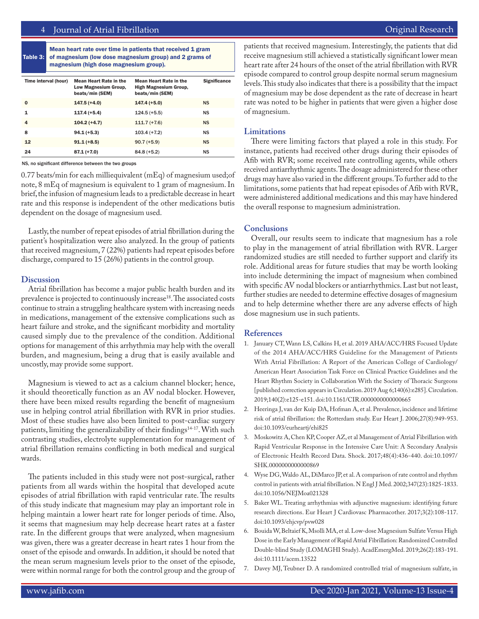# 4 Journal of Atrial Fibrillation **Access 2018** 2019 12:30 November 2018 2019 12:30 November 2019 12:30 November 201

Table 3: Mean heart rate over time in patients that received 1 gram of magnesium (low dose magnesium group) and 2 grams of magnesium (high dose magnesium group).

| Time interval (hour) | <b>Mean Heart Rate in the</b><br>Low Magnesium Group,<br>beats/min (SEM) | <b>Mean Heart Rate in the</b><br>High Magnesium Group,<br>beats/min (SEM) | <b>Significance</b> |
|----------------------|--------------------------------------------------------------------------|---------------------------------------------------------------------------|---------------------|
| $\bf{0}$             | $147.5 (+4.0)$                                                           | $147.4(+5.0)$                                                             | <b>NS</b>           |
| 1                    | $117.4 (+5.4)$                                                           | $124.5 (+5.5)$                                                            | <b>NS</b>           |
| 4                    | $104.2 (+4.7)$                                                           | $111.7 (+7.6)$                                                            | <b>NS</b>           |
| 8                    | $94.1 (+5.3)$                                                            | $103.4 (+7.2)$                                                            | <b>NS</b>           |
| 12                   | $91.1 (+8.5)$                                                            | $90.7 (+5.9)$                                                             | <b>NS</b>           |
| 24                   | $87.1 (+7.0)$                                                            | $84.8(+5.2)$                                                              | <b>NS</b>           |

NS, no significant difference between the two groups

0.77 beats/min for each milliequivalent (mEq) of magnesium used;of note, 8 mEq of magnesium is equivalent to 1 gram of magnesium. In brief, the infusion of magnesium leads to a predictable decrease in heart rate and this response is independent of the other medications butis dependent on the dosage of magnesium used.

Lastly, the number of repeat episodes of atrial fibrillation during the patient's hospitalization were also analyzed. In the group of patients that received magnesium, 7 (22%) patients had repeat episodes before discharge, compared to 15 (26%) patients in the control group.

#### **Discussion**

Atrial fibrillation has become a major public health burden and its prevalence is projected to continuously increase<sup>18</sup>. The associated costs continue to strain a struggling healthcare system with increasing needs in medications, management of the extensive complications such as heart failure and stroke, and the significant morbidity and mortality caused simply due to the prevalence of the condition. Additional options for management of this arrhythmia may help with the overall burden, and magnesium, being a drug that is easily available and uncostly, may provide some support.

Magnesium is viewed to act as a calcium channel blocker; hence, it should theoretically function as an AV nodal blocker. However, there have been mixed results regarding the benefit of magnesium use in helping control atrial fibrillation with RVR in prior studies. Most of these studies have also been limited to post-cardiac surgery patients, limiting the generalizability of their findings<sup>14-17</sup>. With such contrasting studies, electrolyte supplementation for management of atrial fibrillation remains conflicting in both medical and surgical wards.

The patients included in this study were not post-surgical, rather patients from all wards within the hospital that developed acute episodes of atrial fibrillation with rapid ventricular rate. The results of this study indicate that magnesium may play an important role in helping maintain a lower heart rate for longer periods of time. Also, it seems that magnesium may help decrease heart rates at a faster rate. In the different groups that were analyzed, when magnesium was given, there was a greater decrease in heart rates 1 hour from the onset of the episode and onwards. In addition, it should be noted that the mean serum magnesium levels prior to the onset of the episode, were within normal range for both the control group and the group of patients that received magnesium. Interestingly, the patients that did receive magnesium still achieved a statistically significant lower mean heart rate after 24 hours of the onset of the atrial fibrillation with RVR episode compared to control group despite normal serum magnesium levels. This study also indicates that there is a possibility that the impact of magnesium may be dose dependent as the rate of decrease in heart rate was noted to be higher in patients that were given a higher dose of magnesium.

#### **Limitations**

There were limiting factors that played a role in this study. For instance, patients had received other drugs during their episodes of Afib with RVR; some received rate controlling agents, while others received antiarrhythmic agents. The dosage administered for these other drugs may have also varied in the different groups. To further add to the limitations, some patients that had repeat episodes of Afib with RVR, were administered additional medications and this may have hindered the overall response to magnesium administration.

#### **Conclusions**

Overall, our results seem to indicate that magnesium has a role to play in the management of atrial fibrillation with RVR. Larger randomized studies are still needed to further support and clarify its role. Additional areas for future studies that may be worth looking into include determining the impact of magnesium when combined with specific AV nodal blockers or antiarrhythmics. Last but not least, further studies are needed to determine effective dosages of magnesium and to help determine whether there are any adverse effects of high dose magnesium use in such patients.

### **References**

- 1. January CT, Wann LS, Calkins H, et al. 2019 AHA/ACC/HRS Focused Update of the 2014 AHA/ACC/HRS Guideline for the Management of Patients With Atrial Fibrillation: A Report of the American College of Cardiology/ American Heart Association Task Force on Clinical Practice Guidelines and the Heart Rhythm Society in Collaboration With the Society of Thoracic Surgeons [published correction appears in Circulation. 2019 Aug 6;140(6):e285]. Circulation. 2019;140(2):e125-e151. doi:10.1161/CIR.0000000000000665
- 2. Heeringa J, van der Kuip DA, Hofman A, et al. Prevalence, incidence and lifetime risk of atrial fibrillation: the Rotterdam study. Eur Heart J. 2006;27(8):949-953. doi:10.1093/eurheartj/ehi825
- 3. Moskowitz A, Chen KP, Cooper AZ, et al Management of Atrial Fibrillation with Rapid Ventricular Response in the Intensive Care Unit: A Secondary Analysis of Electronic Health Record Data. Shock. 2017;48(4):436-440. doi:10.1097/ SHK.0000000000000869
- 4. Wyse DG, Waldo AL, DiMarco JP, et al. A comparison of rate control and rhythm control in patients with atrial fibrillation. N Engl J Med. 2002;347(23):1825-1833. doi:10.1056/NEJMoa021328
- 5. Baker WL. Treating arrhythmias with adjunctive magnesium: identifying future research directions. Eur Heart J Cardiovasc Pharmacother. 2017;3(2):108-117. doi:10.1093/ehjcvp/pvw028
- 6. Bouida W, Beltaief K, Msolli MA, et al. Low-dose Magnesium Sulfate Versus High Dose in the Early Management of Rapid Atrial Fibrillation: Randomized Controlled Double-blind Study (LOMAGHI Study). AcadEmergMed. 2019;26(2):183-191. doi:10.1111/acem.13522
- 7. Davey MJ, Teubner D. A randomized controlled trial of magnesium sulfate, in